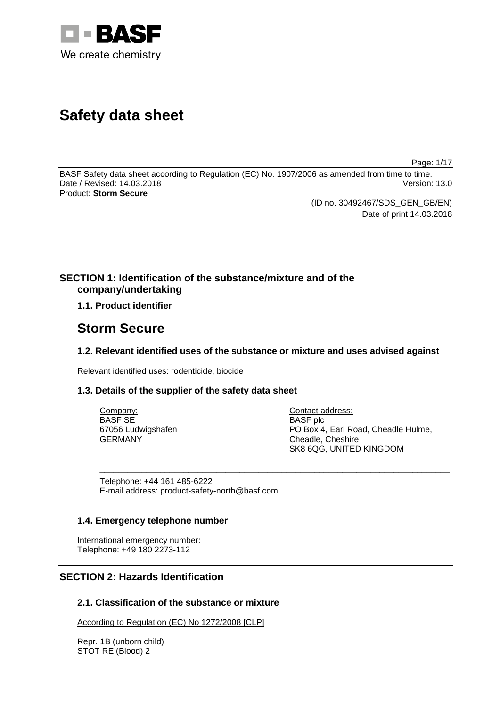

# **Safety data sheet**

Page: 1/17

BASF Safety data sheet according to Regulation (EC) No. 1907/2006 as amended from time to time.<br>Date / Revised: 14.03.2018 Version: 13.0 Date / Revised: 14.03.2018 Product: **Storm Secure**

(ID no. 30492467/SDS\_GEN\_GB/EN)

Date of print 14.03.2018

# **SECTION 1: Identification of the substance/mixture and of the company/undertaking**

**1.1. Product identifier**

# **Storm Secure**

## **1.2. Relevant identified uses of the substance or mixture and uses advised against**

Relevant identified uses: rodenticide, biocide

## **1.3. Details of the supplier of the safety data sheet**

| Company:           | Contact address:                    |
|--------------------|-------------------------------------|
| BASF SE            | <b>BASF</b> plc                     |
| 67056 Ludwigshafen | PO Box 4, Earl Road, Cheadle Hulme, |
| GERMANY            | Cheadle, Cheshire                   |
|                    | SK8 6QG, UNITED KINGDOM             |

\_\_\_\_\_\_\_\_\_\_\_\_\_\_\_\_\_\_\_\_\_\_\_\_\_\_\_\_\_\_\_\_\_\_\_\_\_\_\_\_\_\_\_\_\_\_\_\_\_\_\_\_\_\_\_\_\_\_\_\_\_\_\_\_\_\_\_\_\_\_\_\_\_\_\_

Telephone: +44 161 485-6222 E-mail address: product-safety-north@basf.com

## **1.4. Emergency telephone number**

International emergency number: Telephone: +49 180 2273-112

# **SECTION 2: Hazards Identification**

## **2.1. Classification of the substance or mixture**

According to Regulation (EC) No 1272/2008 [CLP]

Repr. 1B (unborn child) STOT RE (Blood) 2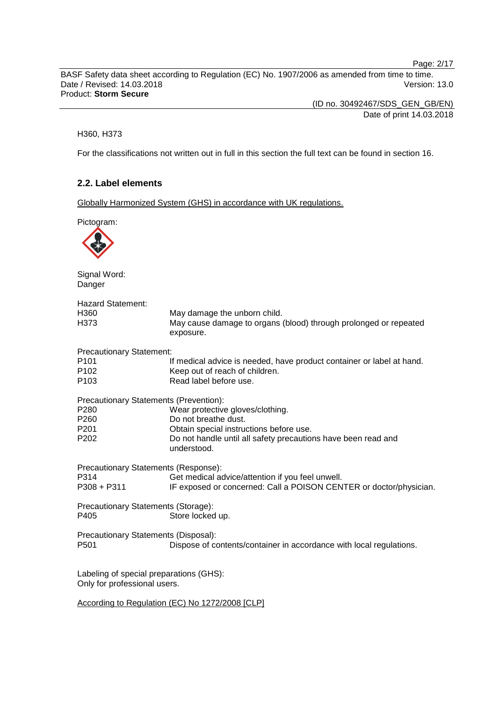Page: 2/17

BASF Safety data sheet according to Regulation (EC) No. 1907/2006 as amended from time to time. Date / Revised: 14.03.2018 Product: **Storm Secure**

> (ID no. 30492467/SDS\_GEN\_GB/EN) Date of print 14.03.2018

### H360, H373

For the classifications not written out in full in this section the full text can be found in section 16.

## **2.2. Label elements**

Globally Harmonized System (GHS) in accordance with UK regulations.

Pictogram:

Signal Word: Danger

| Hazard Statement:                                                       |                                                                                                               |
|-------------------------------------------------------------------------|---------------------------------------------------------------------------------------------------------------|
| H360<br>H373                                                            | May damage the unborn child.<br>May cause damage to organs (blood) through prolonged or repeated<br>exposure. |
| <b>Precautionary Statement:</b>                                         |                                                                                                               |
| P101                                                                    | If medical advice is needed, have product container or label at hand.                                         |
| P102                                                                    | Keep out of reach of children.                                                                                |
| P103                                                                    | Read label before use.                                                                                        |
| Precautionary Statements (Prevention):                                  |                                                                                                               |
| P280                                                                    | Wear protective gloves/clothing.                                                                              |
| P260                                                                    | Do not breathe dust.                                                                                          |
| P201                                                                    | Obtain special instructions before use.                                                                       |
| P202                                                                    | Do not handle until all safety precautions have been read and<br>understood.                                  |
| Precautionary Statements (Response):                                    |                                                                                                               |
| P314                                                                    | Get medical advice/attention if you feel unwell.                                                              |
| P308 + P311                                                             | IF exposed or concerned: Call a POISON CENTER or doctor/physician.                                            |
| Precautionary Statements (Storage):                                     |                                                                                                               |
| P405                                                                    | Store locked up.                                                                                              |
| Precautionary Statements (Disposal):                                    |                                                                                                               |
| P501                                                                    | Dispose of contents/container in accordance with local regulations.                                           |
| Labeling of special preparations (GHS):<br>Only for professional users. |                                                                                                               |
|                                                                         |                                                                                                               |
|                                                                         |                                                                                                               |

According to Regulation (EC) No 1272/2008 [CLP]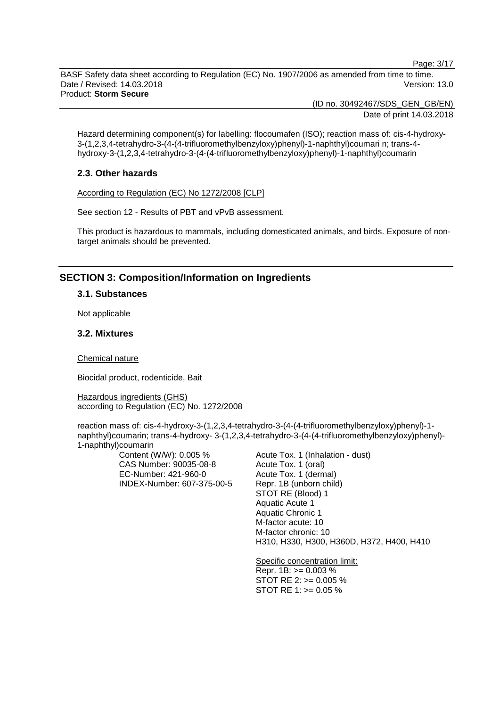Page: 3/17

BASF Safety data sheet according to Regulation (EC) No. 1907/2006 as amended from time to time. Date / Revised: 14.03.2018 Version: 13.0 Product: **Storm Secure**

(ID no. 30492467/SDS\_GEN\_GB/EN)

Date of print 14.03.2018

Hazard determining component(s) for labelling: flocoumafen (ISO); reaction mass of: cis-4-hydroxy-3-(1,2,3,4-tetrahydro-3-(4-(4-trifluoromethylbenzyloxy)phenyl)-1-naphthyl)coumari n; trans-4 hydroxy-3-(1,2,3,4-tetrahydro-3-(4-(4-trifluoromethylbenzyloxy)phenyl)-1-naphthyl)coumarin

### **2.3. Other hazards**

According to Regulation (EC) No 1272/2008 [CLP]

See section 12 - Results of PBT and vPvB assessment.

This product is hazardous to mammals, including domesticated animals, and birds. Exposure of nontarget animals should be prevented.

## **SECTION 3: Composition/Information on Ingredients**

## **3.1. Substances**

Not applicable

#### **3.2. Mixtures**

Chemical nature

Biocidal product, rodenticide, Bait

Hazardous ingredients (GHS) according to Regulation (EC) No. 1272/2008

reaction mass of: cis-4-hydroxy-3-(1,2,3,4-tetrahydro-3-(4-(4-trifluoromethylbenzyloxy)phenyl)-1 naphthyl)coumarin; trans-4-hydroxy- 3-(1,2,3,4-tetrahydro-3-(4-(4-trifluoromethylbenzyloxy)phenyl)- 1-naphthyl)coumarin

Content (W/W): 0.005 % CAS Number: 90035-08-8 EC-Number: 421-960-0 INDEX-Number: 607-375-00-5 Acute Tox. 1 (Inhalation - dust) Acute Tox. 1 (oral) Acute Tox. 1 (dermal) Repr. 1B (unborn child) STOT RE (Blood) 1 Aquatic Acute 1 Aquatic Chronic 1 M-factor acute: 10 M-factor chronic: 10 H310, H330, H300, H360D, H372, H400, H410

Specific concentration limit: Repr. 1B: >= 0.003 % STOT RE 2: >= 0.005 % STOT RE 1: >= 0.05 %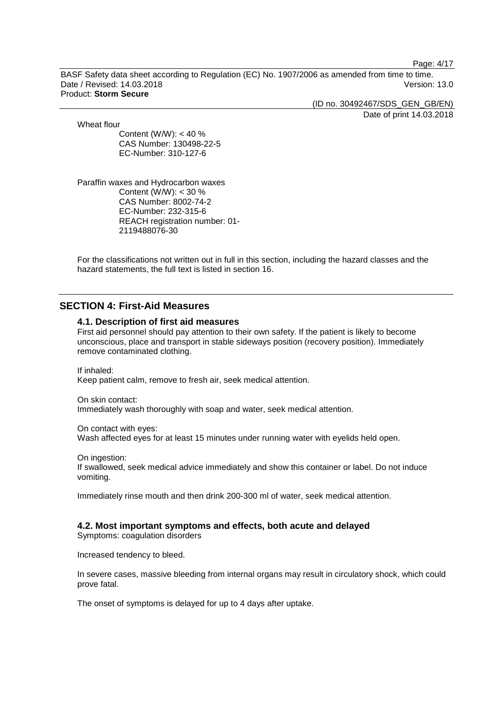Page: 4/17

BASF Safety data sheet according to Regulation (EC) No. 1907/2006 as amended from time to time. Date / Revised: 14.03.2018 Version: 13.0 Product: **Storm Secure**

> (ID no. 30492467/SDS\_GEN\_GB/EN) Date of print 14.03.2018

Wheat flour

Content (W/W): < 40 % CAS Number: 130498-22-5 EC-Number: 310-127-6

Paraffin waxes and Hydrocarbon waxes Content ( $\dot{W}$ /W): < 30 % CAS Number: 8002-74-2 EC-Number: 232-315-6 REACH registration number: 01- 2119488076-30

For the classifications not written out in full in this section, including the hazard classes and the hazard statements, the full text is listed in section 16.

## **SECTION 4: First-Aid Measures**

## **4.1. Description of first aid measures**

First aid personnel should pay attention to their own safety. If the patient is likely to become unconscious, place and transport in stable sideways position (recovery position). Immediately remove contaminated clothing.

If inhaled: Keep patient calm, remove to fresh air, seek medical attention.

On skin contact:

Immediately wash thoroughly with soap and water, seek medical attention.

On contact with eyes: Wash affected eyes for at least 15 minutes under running water with eyelids held open.

On ingestion:

If swallowed, seek medical advice immediately and show this container or label. Do not induce vomiting.

Immediately rinse mouth and then drink 200-300 ml of water, seek medical attention.

#### **4.2. Most important symptoms and effects, both acute and delayed**

Symptoms: coagulation disorders

Increased tendency to bleed.

In severe cases, massive bleeding from internal organs may result in circulatory shock, which could prove fatal.

The onset of symptoms is delayed for up to 4 days after uptake.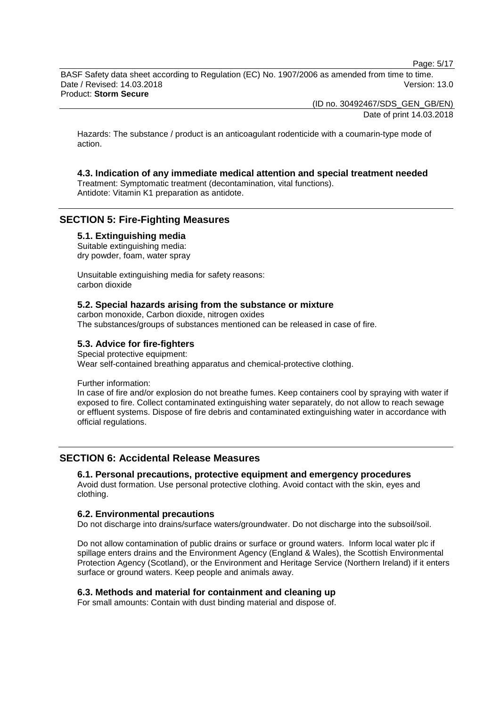Page: 5/17

BASF Safety data sheet according to Regulation (EC) No. 1907/2006 as amended from time to time. Date / Revised: 14.03.2018 Version: 13.0 Product: **Storm Secure**

(ID no. 30492467/SDS\_GEN\_GB/EN)

Date of print 14.03.2018

Hazards: The substance / product is an anticoagulant rodenticide with a coumarin-type mode of action.

## **4.3. Indication of any immediate medical attention and special treatment needed**

Treatment: Symptomatic treatment (decontamination, vital functions). Antidote: Vitamin K1 preparation as antidote.

## **SECTION 5: Fire-Fighting Measures**

### **5.1. Extinguishing media**

Suitable extinguishing media: dry powder, foam, water spray

Unsuitable extinguishing media for safety reasons: carbon dioxide

#### **5.2. Special hazards arising from the substance or mixture**

carbon monoxide, Carbon dioxide, nitrogen oxides The substances/groups of substances mentioned can be released in case of fire.

## **5.3. Advice for fire-fighters**

Special protective equipment: Wear self-contained breathing apparatus and chemical-protective clothing.

Further information:

In case of fire and/or explosion do not breathe fumes. Keep containers cool by spraying with water if exposed to fire. Collect contaminated extinguishing water separately, do not allow to reach sewage or effluent systems. Dispose of fire debris and contaminated extinguishing water in accordance with official regulations.

## **SECTION 6: Accidental Release Measures**

## **6.1. Personal precautions, protective equipment and emergency procedures**

Avoid dust formation. Use personal protective clothing. Avoid contact with the skin, eyes and clothing.

#### **6.2. Environmental precautions**

Do not discharge into drains/surface waters/groundwater. Do not discharge into the subsoil/soil.

Do not allow contamination of public drains or surface or ground waters. Inform local water plc if spillage enters drains and the Environment Agency (England & Wales), the Scottish Environmental Protection Agency (Scotland), or the Environment and Heritage Service (Northern Ireland) if it enters surface or ground waters. Keep people and animals away.

## **6.3. Methods and material for containment and cleaning up**

For small amounts: Contain with dust binding material and dispose of.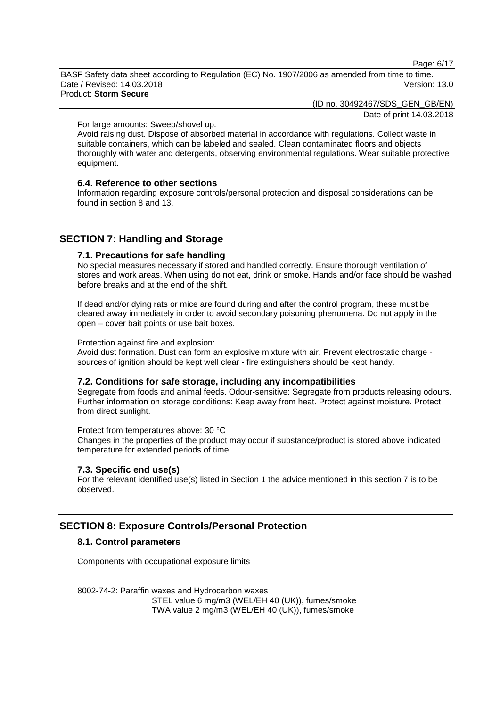Page: 6/17

BASF Safety data sheet according to Regulation (EC) No. 1907/2006 as amended from time to time. Date / Revised: 14.03.2018 Version: 13.0 Product: **Storm Secure**

(ID no. 30492467/SDS\_GEN\_GB/EN)

Date of print 14.03.2018

For large amounts: Sweep/shovel up.

Avoid raising dust. Dispose of absorbed material in accordance with regulations. Collect waste in suitable containers, which can be labeled and sealed. Clean contaminated floors and objects thoroughly with water and detergents, observing environmental regulations. Wear suitable protective equipment.

### **6.4. Reference to other sections**

Information regarding exposure controls/personal protection and disposal considerations can be found in section 8 and 13.

## **SECTION 7: Handling and Storage**

### **7.1. Precautions for safe handling**

No special measures necessary if stored and handled correctly. Ensure thorough ventilation of stores and work areas. When using do not eat, drink or smoke. Hands and/or face should be washed before breaks and at the end of the shift.

If dead and/or dying rats or mice are found during and after the control program, these must be cleared away immediately in order to avoid secondary poisoning phenomena. Do not apply in the open – cover bait points or use bait boxes.

Protection against fire and explosion:

Avoid dust formation. Dust can form an explosive mixture with air. Prevent electrostatic charge sources of ignition should be kept well clear - fire extinguishers should be kept handy.

#### **7.2. Conditions for safe storage, including any incompatibilities**

Segregate from foods and animal feeds. Odour-sensitive: Segregate from products releasing odours. Further information on storage conditions: Keep away from heat. Protect against moisture. Protect from direct sunlight.

Protect from temperatures above: 30 °C

Changes in the properties of the product may occur if substance/product is stored above indicated temperature for extended periods of time.

## **7.3. Specific end use(s)**

For the relevant identified use(s) listed in Section 1 the advice mentioned in this section 7 is to be observed.

## **SECTION 8: Exposure Controls/Personal Protection**

#### **8.1. Control parameters**

Components with occupational exposure limits

8002-74-2: Paraffin waxes and Hydrocarbon waxes STEL value 6 mg/m3 (WEL/EH 40 (UK)), fumes/smoke TWA value 2 mg/m3 (WEL/EH 40 (UK)), fumes/smoke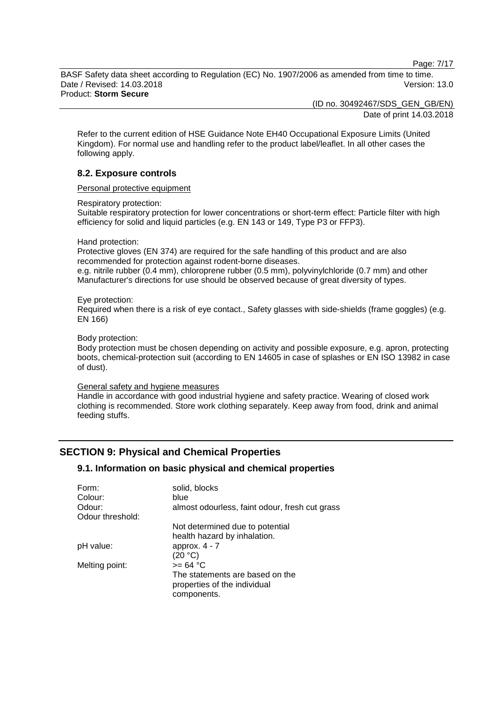Page: 7/17

BASF Safety data sheet according to Regulation (EC) No. 1907/2006 as amended from time to time. Date / Revised: 14.03.2018 Version: 13.0 Product: **Storm Secure**

(ID no. 30492467/SDS\_GEN\_GB/EN)

Date of print 14.03.2018

Refer to the current edition of HSE Guidance Note EH40 Occupational Exposure Limits (United Kingdom). For normal use and handling refer to the product label/leaflet. In all other cases the following apply.

## **8.2. Exposure controls**

Personal protective equipment

Respiratory protection:

Suitable respiratory protection for lower concentrations or short-term effect: Particle filter with high efficiency for solid and liquid particles (e.g. EN 143 or 149, Type P3 or FFP3).

Hand protection:

Protective gloves (EN 374) are required for the safe handling of this product and are also recommended for protection against rodent-borne diseases.

e.g. nitrile rubber (0.4 mm), chloroprene rubber (0.5 mm), polyvinylchloride (0.7 mm) and other Manufacturer's directions for use should be observed because of great diversity of types.

#### Eye protection:

Required when there is a risk of eye contact., Safety glasses with side-shields (frame goggles) (e.g. EN 166)

#### Body protection:

Body protection must be chosen depending on activity and possible exposure, e.g. apron, protecting boots, chemical-protection suit (according to EN 14605 in case of splashes or EN ISO 13982 in case of dust).

#### General safety and hygiene measures

Handle in accordance with good industrial hygiene and safety practice. Wearing of closed work clothing is recommended. Store work clothing separately. Keep away from food, drink and animal feeding stuffs.

## **SECTION 9: Physical and Chemical Properties**

#### **9.1. Information on basic physical and chemical properties**

| Form:            | solid, blocks                                  |
|------------------|------------------------------------------------|
| Colour:          | blue                                           |
| Odour:           | almost odourless, faint odour, fresh cut grass |
| Odour threshold: |                                                |
|                  | Not determined due to potential                |
|                  | health hazard by inhalation.                   |
| pH value:        | approx. $4 - 7$                                |
|                  | (20 °C)                                        |
| Melting point:   | $>= 64 °C$                                     |
|                  | The statements are based on the                |
|                  | properties of the individual                   |
|                  | components.                                    |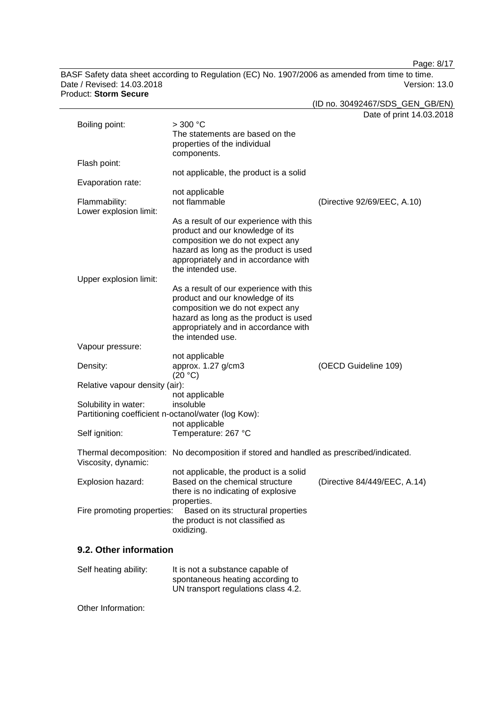Page: 8/17

BASF Safety data sheet according to Regulation (EC) No. 1907/2006 as amended from time to time. Date / Revised: 14.03.2018 Product: **Storm Secure**

|                                |                                                                                        | Date of print 14.03.2018     |
|--------------------------------|----------------------------------------------------------------------------------------|------------------------------|
| Boiling point:                 | $>$ 300 °C                                                                             |                              |
|                                | The statements are based on the                                                        |                              |
|                                | properties of the individual                                                           |                              |
|                                | components.                                                                            |                              |
| Flash point:                   |                                                                                        |                              |
|                                | not applicable, the product is a solid                                                 |                              |
| Evaporation rate:              |                                                                                        |                              |
|                                |                                                                                        |                              |
|                                | not applicable<br>not flammable                                                        |                              |
| Flammability:                  |                                                                                        | (Directive 92/69/EEC, A.10)  |
| Lower explosion limit:         |                                                                                        |                              |
|                                | As a result of our experience with this                                                |                              |
|                                | product and our knowledge of its                                                       |                              |
|                                | composition we do not expect any                                                       |                              |
|                                | hazard as long as the product is used                                                  |                              |
|                                | appropriately and in accordance with                                                   |                              |
|                                | the intended use.                                                                      |                              |
| Upper explosion limit:         |                                                                                        |                              |
|                                | As a result of our experience with this                                                |                              |
|                                | product and our knowledge of its                                                       |                              |
|                                | composition we do not expect any                                                       |                              |
|                                |                                                                                        |                              |
|                                | hazard as long as the product is used                                                  |                              |
|                                | appropriately and in accordance with                                                   |                              |
|                                | the intended use.                                                                      |                              |
| Vapour pressure:               |                                                                                        |                              |
|                                | not applicable                                                                         |                              |
| Density:                       | approx. 1.27 g/cm3                                                                     | (OECD Guideline 109)         |
|                                | (20 °C)                                                                                |                              |
| Relative vapour density (air): |                                                                                        |                              |
|                                | not applicable                                                                         |                              |
| Solubility in water:           | insoluble                                                                              |                              |
|                                | Partitioning coefficient n-octanol/water (log Kow):                                    |                              |
|                                | not applicable                                                                         |                              |
| Self ignition:                 | Temperature: 267 °C                                                                    |                              |
|                                |                                                                                        |                              |
|                                |                                                                                        |                              |
|                                | Thermal decomposition: No decomposition if stored and handled as prescribed/indicated. |                              |
| Viscosity, dynamic:            |                                                                                        |                              |
|                                | not applicable, the product is a solid                                                 |                              |
| Explosion hazard:              | Based on the chemical structure                                                        | (Directive 84/449/EEC, A.14) |
|                                | there is no indicating of explosive                                                    |                              |
|                                | properties.                                                                            |                              |
| Fire promoting properties:     | Based on its structural properties                                                     |                              |
|                                | the product is not classified as                                                       |                              |
|                                | oxidizing.                                                                             |                              |
|                                |                                                                                        |                              |
| 9.2. Other information         |                                                                                        |                              |
|                                |                                                                                        |                              |
|                                |                                                                                        |                              |

Other Information:

Self heating ability: It is not a substance capable of

spontaneous heating according to UN transport regulations class 4.2.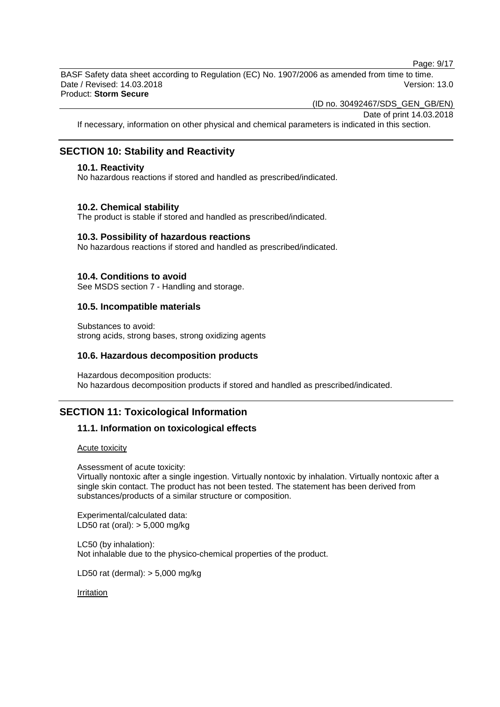Page: 9/17

BASF Safety data sheet according to Regulation (EC) No. 1907/2006 as amended from time to time. Date / Revised: 14.03.2018 Version: 13.0 Product: **Storm Secure**

(ID no. 30492467/SDS\_GEN\_GB/EN)

Date of print 14.03.2018

If necessary, information on other physical and chemical parameters is indicated in this section.

## **SECTION 10: Stability and Reactivity**

#### **10.1. Reactivity**

No hazardous reactions if stored and handled as prescribed/indicated.

#### **10.2. Chemical stability**

The product is stable if stored and handled as prescribed/indicated.

#### **10.3. Possibility of hazardous reactions**

No hazardous reactions if stored and handled as prescribed/indicated.

#### **10.4. Conditions to avoid**

See MSDS section 7 - Handling and storage.

#### **10.5. Incompatible materials**

Substances to avoid: strong acids, strong bases, strong oxidizing agents

#### **10.6. Hazardous decomposition products**

Hazardous decomposition products: No hazardous decomposition products if stored and handled as prescribed/indicated.

## **SECTION 11: Toxicological Information**

## **11.1. Information on toxicological effects**

Acute toxicity

Assessment of acute toxicity:

Virtually nontoxic after a single ingestion. Virtually nontoxic by inhalation. Virtually nontoxic after a single skin contact. The product has not been tested. The statement has been derived from substances/products of a similar structure or composition.

Experimental/calculated data: LD50 rat (oral): > 5,000 mg/kg

LC50 (by inhalation): Not inhalable due to the physico-chemical properties of the product.

LD50 rat (dermal): > 5,000 mg/kg

Irritation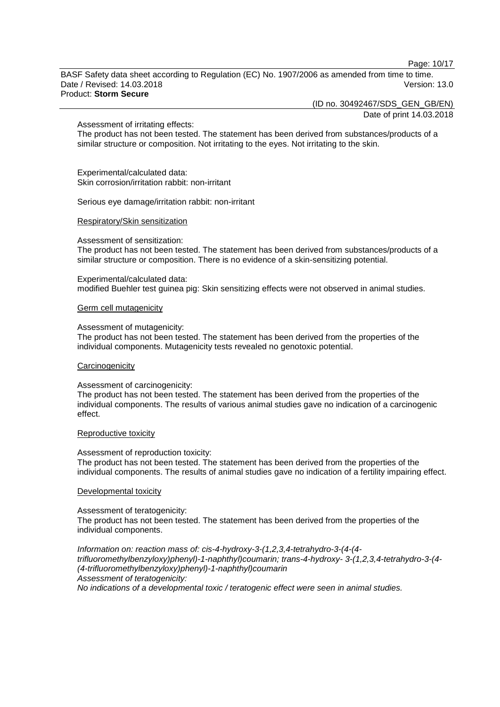Page: 10/17

BASF Safety data sheet according to Regulation (EC) No. 1907/2006 as amended from time to time. Date / Revised: 14.03.2018 Version: 13.0 Product: **Storm Secure**

(ID no. 30492467/SDS\_GEN\_GB/EN)

Date of print 14.03.2018

#### Assessment of irritating effects:

The product has not been tested. The statement has been derived from substances/products of a similar structure or composition. Not irritating to the eyes. Not irritating to the skin.

Experimental/calculated data: Skin corrosion/irritation rabbit: non-irritant

Serious eye damage/irritation rabbit: non-irritant

#### Respiratory/Skin sensitization

#### Assessment of sensitization:

The product has not been tested. The statement has been derived from substances/products of a similar structure or composition. There is no evidence of a skin-sensitizing potential.

Experimental/calculated data:

modified Buehler test guinea pig: Skin sensitizing effects were not observed in animal studies.

#### Germ cell mutagenicity

#### Assessment of mutagenicity:

The product has not been tested. The statement has been derived from the properties of the individual components. Mutagenicity tests revealed no genotoxic potential.

#### **Carcinogenicity**

Assessment of carcinogenicity:

The product has not been tested. The statement has been derived from the properties of the individual components. The results of various animal studies gave no indication of a carcinogenic effect.

#### Reproductive toxicity

#### Assessment of reproduction toxicity:

The product has not been tested. The statement has been derived from the properties of the individual components. The results of animal studies gave no indication of a fertility impairing effect.

#### Developmental toxicity

#### Assessment of teratogenicity:

The product has not been tested. The statement has been derived from the properties of the individual components.

*Information on: reaction mass of: cis-4-hydroxy-3-(1,2,3,4-tetrahydro-3-(4-(4 trifluoromethylbenzyloxy)phenyl)-1-naphthyl)coumarin; trans-4-hydroxy- 3-(1,2,3,4-tetrahydro-3-(4- (4-trifluoromethylbenzyloxy)phenyl)-1-naphthyl)coumarin Assessment of teratogenicity:*

*No indications of a developmental toxic / teratogenic effect were seen in animal studies.*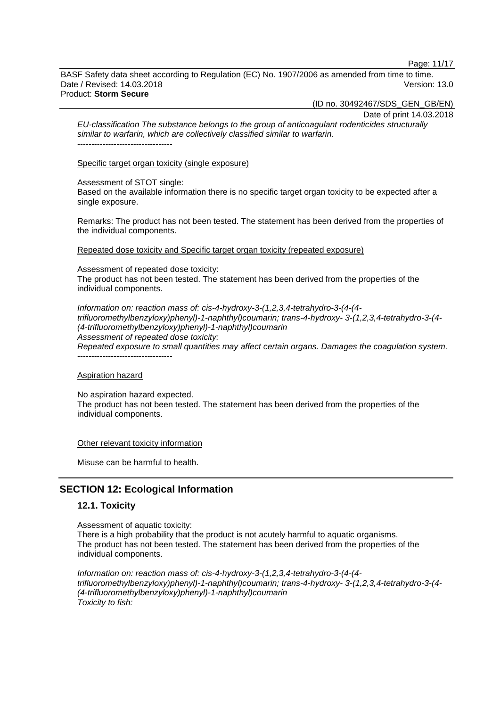Page: 11/17

BASF Safety data sheet according to Regulation (EC) No. 1907/2006 as amended from time to time. Date / Revised: 14.03.2018 Version: 13.0 Product: **Storm Secure**

(ID no. 30492467/SDS\_GEN\_GB/EN)

Date of print 14.03.2018

*EU-classification The substance belongs to the group of anticoagulant rodenticides structurally similar to warfarin, which are collectively classified similar to warfarin.* ----------------------------------

Specific target organ toxicity (single exposure)

Assessment of STOT single:

Based on the available information there is no specific target organ toxicity to be expected after a single exposure.

Remarks: The product has not been tested. The statement has been derived from the properties of the individual components.

Repeated dose toxicity and Specific target organ toxicity (repeated exposure)

Assessment of repeated dose toxicity: The product has not been tested. The statement has been derived from the properties of the individual components.

*Information on: reaction mass of: cis-4-hydroxy-3-(1,2,3,4-tetrahydro-3-(4-(4 trifluoromethylbenzyloxy)phenyl)-1-naphthyl)coumarin; trans-4-hydroxy- 3-(1,2,3,4-tetrahydro-3-(4- (4-trifluoromethylbenzyloxy)phenyl)-1-naphthyl)coumarin Assessment of repeated dose toxicity: Repeated exposure to small quantities may affect certain organs. Damages the coagulation system.* ----------------------------------

#### Aspiration hazard

No aspiration hazard expected. The product has not been tested. The statement has been derived from the properties of the individual components.

Other relevant toxicity information

Misuse can be harmful to health.

## **SECTION 12: Ecological Information**

#### **12.1. Toxicity**

Assessment of aquatic toxicity: There is a high probability that the product is not acutely harmful to aquatic organisms. The product has not been tested. The statement has been derived from the properties of the individual components.

*Information on: reaction mass of: cis-4-hydroxy-3-(1,2,3,4-tetrahydro-3-(4-(4 trifluoromethylbenzyloxy)phenyl)-1-naphthyl)coumarin; trans-4-hydroxy- 3-(1,2,3,4-tetrahydro-3-(4- (4-trifluoromethylbenzyloxy)phenyl)-1-naphthyl)coumarin Toxicity to fish:*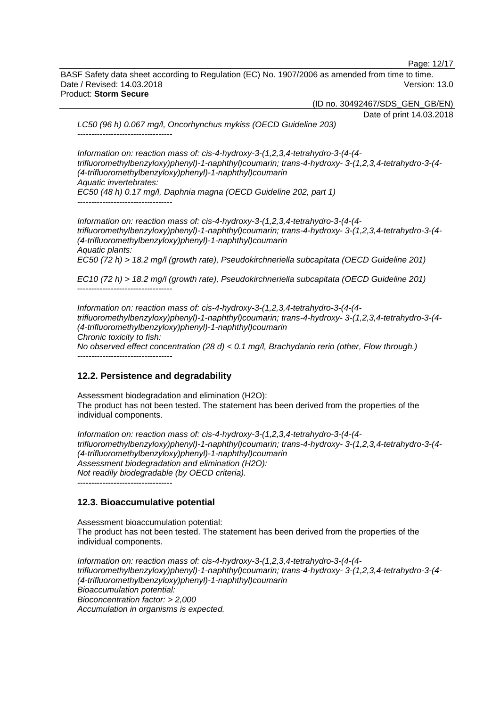Page: 12/17

BASF Safety data sheet according to Regulation (EC) No. 1907/2006 as amended from time to time. Date / Revised: 14.03.2018 Version: 13.0 Product: **Storm Secure**

(ID no. 30492467/SDS\_GEN\_GB/EN)

Date of print 14.03.2018

*LC50 (96 h) 0.067 mg/l, Oncorhynchus mykiss (OECD Guideline 203)* ----------------------------------

*Information on: reaction mass of: cis-4-hydroxy-3-(1,2,3,4-tetrahydro-3-(4-(4 trifluoromethylbenzyloxy)phenyl)-1-naphthyl)coumarin; trans-4-hydroxy- 3-(1,2,3,4-tetrahydro-3-(4- (4-trifluoromethylbenzyloxy)phenyl)-1-naphthyl)coumarin Aquatic invertebrates: EC50 (48 h) 0.17 mg/l, Daphnia magna (OECD Guideline 202, part 1)*

*Information on: reaction mass of: cis-4-hydroxy-3-(1,2,3,4-tetrahydro-3-(4-(4 trifluoromethylbenzyloxy)phenyl)-1-naphthyl)coumarin; trans-4-hydroxy- 3-(1,2,3,4-tetrahydro-3-(4- (4-trifluoromethylbenzyloxy)phenyl)-1-naphthyl)coumarin Aquatic plants: EC50 (72 h) > 18.2 mg/l (growth rate), Pseudokirchneriella subcapitata (OECD Guideline 201)*

*EC10 (72 h) > 18.2 mg/l (growth rate), Pseudokirchneriella subcapitata (OECD Guideline 201)* ----------------------------------

*Information on: reaction mass of: cis-4-hydroxy-3-(1,2,3,4-tetrahydro-3-(4-(4 trifluoromethylbenzyloxy)phenyl)-1-naphthyl)coumarin; trans-4-hydroxy- 3-(1,2,3,4-tetrahydro-3-(4- (4-trifluoromethylbenzyloxy)phenyl)-1-naphthyl)coumarin Chronic toxicity to fish: No observed effect concentration (28 d) < 0.1 mg/l, Brachydanio rerio (other, Flow through.)* ----------------------------------

## **12.2. Persistence and degradability**

----------------------------------

Assessment biodegradation and elimination (H2O): The product has not been tested. The statement has been derived from the properties of the individual components.

*Information on: reaction mass of: cis-4-hydroxy-3-(1,2,3,4-tetrahydro-3-(4-(4 trifluoromethylbenzyloxy)phenyl)-1-naphthyl)coumarin; trans-4-hydroxy- 3-(1,2,3,4-tetrahydro-3-(4- (4-trifluoromethylbenzyloxy)phenyl)-1-naphthyl)coumarin Assessment biodegradation and elimination (H2O): Not readily biodegradable (by OECD criteria).* ----------------------------------

## **12.3. Bioaccumulative potential**

Assessment bioaccumulation potential: The product has not been tested. The statement has been derived from the properties of the individual components.

*Information on: reaction mass of: cis-4-hydroxy-3-(1,2,3,4-tetrahydro-3-(4-(4 trifluoromethylbenzyloxy)phenyl)-1-naphthyl)coumarin; trans-4-hydroxy- 3-(1,2,3,4-tetrahydro-3-(4- (4-trifluoromethylbenzyloxy)phenyl)-1-naphthyl)coumarin Bioaccumulation potential: Bioconcentration factor: > 2,000 Accumulation in organisms is expected.*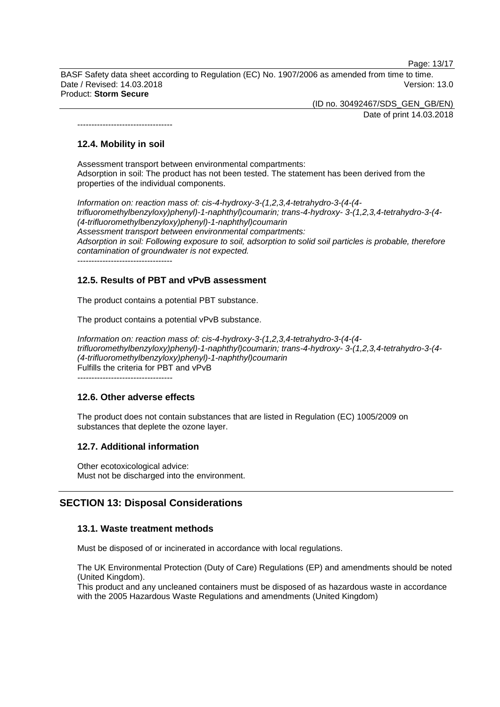Page: 13/17

BASF Safety data sheet according to Regulation (EC) No. 1907/2006 as amended from time to time. Date / Revised: 14.03.2018 Version: 13.0 Product: **Storm Secure**

> (ID no. 30492467/SDS\_GEN\_GB/EN) Date of print 14.03.2018

## **12.4. Mobility in soil**

----------------------------------

Assessment transport between environmental compartments: Adsorption in soil: The product has not been tested. The statement has been derived from the properties of the individual components.

*Information on: reaction mass of: cis-4-hydroxy-3-(1,2,3,4-tetrahydro-3-(4-(4 trifluoromethylbenzyloxy)phenyl)-1-naphthyl)coumarin; trans-4-hydroxy- 3-(1,2,3,4-tetrahydro-3-(4- (4-trifluoromethylbenzyloxy)phenyl)-1-naphthyl)coumarin Assessment transport between environmental compartments: Adsorption in soil: Following exposure to soil, adsorption to solid soil particles is probable, therefore contamination of groundwater is not expected.*

----------------------------------

## **12.5. Results of PBT and vPvB assessment**

The product contains a potential PBT substance.

The product contains a potential vPvB substance.

*Information on: reaction mass of: cis-4-hydroxy-3-(1,2,3,4-tetrahydro-3-(4-(4 trifluoromethylbenzyloxy)phenyl)-1-naphthyl)coumarin; trans-4-hydroxy- 3-(1,2,3,4-tetrahydro-3-(4- (4-trifluoromethylbenzyloxy)phenyl)-1-naphthyl)coumarin* Fulfills the criteria for PBT and vPvB

*----------------------------------*

## **12.6. Other adverse effects**

The product does not contain substances that are listed in Regulation (EC) 1005/2009 on substances that deplete the ozone layer.

## **12.7. Additional information**

Other ecotoxicological advice: Must not be discharged into the environment.

## **SECTION 13: Disposal Considerations**

## **13.1. Waste treatment methods**

Must be disposed of or incinerated in accordance with local regulations.

The UK Environmental Protection (Duty of Care) Regulations (EP) and amendments should be noted (United Kingdom).

This product and any uncleaned containers must be disposed of as hazardous waste in accordance with the 2005 Hazardous Waste Regulations and amendments (United Kingdom)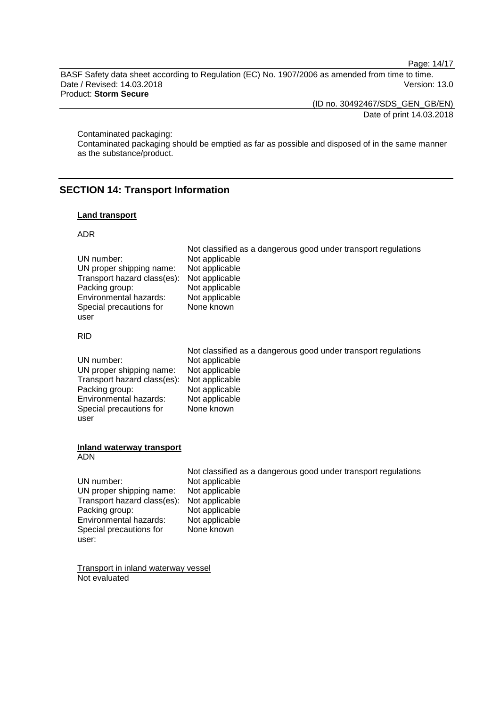Page: 14/17

BASF Safety data sheet according to Regulation (EC) No. 1907/2006 as amended from time to time. Date / Revised: 14.03.2018 Product: **Storm Secure**

> (ID no. 30492467/SDS\_GEN\_GB/EN) Date of print 14.03.2018

Contaminated packaging:

Contaminated packaging should be emptied as far as possible and disposed of in the same manner as the substance/product.

# **SECTION 14: Transport Information**

## **Land transport**

### ADR

| UN number:                              | Not classified as a dangerous good under transport regulations |
|-----------------------------------------|----------------------------------------------------------------|
| UN proper shipping name:                | Not applicable                                                 |
| Transport hazard class(es):             | Not applicable                                                 |
| Packing group:                          | Not applicable                                                 |
| Environmental hazards:                  | Not applicable                                                 |
| Special precautions for                 | Not applicable                                                 |
| user                                    | None known                                                     |
| <b>RID</b>                              |                                                                |
| UN number:                              | Not classified as a dangerous good under transport regulations |
| UN proper shipping name:                | Not applicable                                                 |
| Transport hazard class(es):             | Not applicable                                                 |
| Packing group:                          | Not applicable                                                 |
| Environmental hazards:                  | Not applicable                                                 |
| Special precautions for                 | Not applicable                                                 |
| user                                    | None known                                                     |
| Inland waterway transport<br><b>ADN</b> |                                                                |
| UN number:                              | Not classified as a dangerous good under transport regulations |
| UN proper shipping name:                | Not applicable                                                 |
| Transport hazard class(es):             | Not applicable                                                 |
| Packing group:                          | Not applicable                                                 |
| Environmental hazards:                  | Not applicable                                                 |
| Special precautions for                 | Not applicable                                                 |
| user:                                   | None known                                                     |

Transport in inland waterway vessel Not evaluated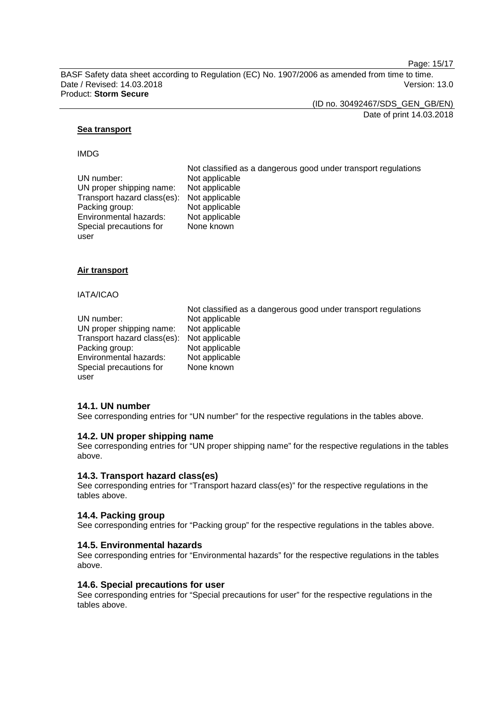Page: 15/17

BASF Safety data sheet according to Regulation (EC) No. 1907/2006 as amended from time to time. Date / Revised: 14.03.2018 Version: 13.0 Product: **Storm Secure**

(ID no. 30492467/SDS\_GEN\_GB/EN)

Date of print 14.03.2018

#### **Sea transport**

#### IMDG

user

Not classified as a dangerous good under transport regulations UN number: Not applicable<br>UN proper shipping name: Not applicable UN proper shipping name: Transport hazard class(es): Not applicable<br>Packing group: Not applicable Packing group: Not applicable<br>
Environmental hazards: Not applicable Environmental hazards: Special precautions for None known

#### **Air transport**

#### IATA/ICAO

|                                            | Not classified as a dangerous good under transport regulations |
|--------------------------------------------|----------------------------------------------------------------|
| UN number:                                 | Not applicable                                                 |
| UN proper shipping name:                   | Not applicable                                                 |
| Transport hazard class(es): Not applicable |                                                                |
| Packing group:                             | Not applicable                                                 |
| Environmental hazards:                     | Not applicable                                                 |
| Special precautions for                    | None known                                                     |
| user                                       |                                                                |

#### **14.1. UN number**

See corresponding entries for "UN number" for the respective regulations in the tables above.

#### **14.2. UN proper shipping name**

See corresponding entries for "UN proper shipping name" for the respective regulations in the tables above.

#### **14.3. Transport hazard class(es)**

See corresponding entries for "Transport hazard class(es)" for the respective regulations in the tables above.

#### **14.4. Packing group**

See corresponding entries for "Packing group" for the respective regulations in the tables above.

#### **14.5. Environmental hazards**

See corresponding entries for "Environmental hazards" for the respective regulations in the tables above.

#### **14.6. Special precautions for user**

See corresponding entries for "Special precautions for user" for the respective regulations in the tables above.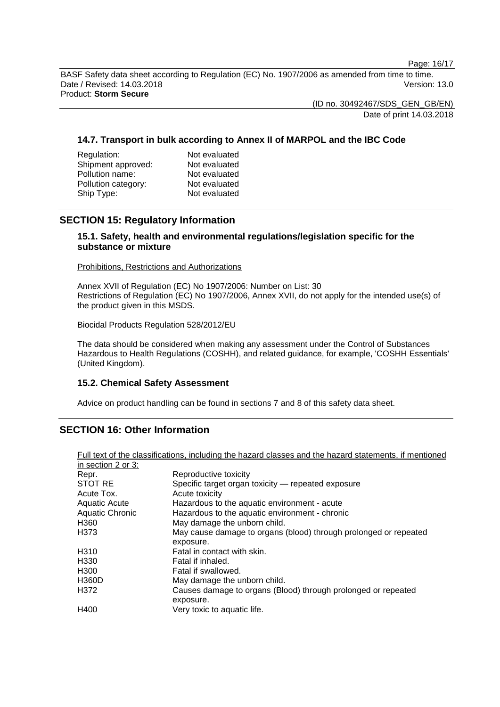Page: 16/17

BASF Safety data sheet according to Regulation (EC) No. 1907/2006 as amended from time to time. Date / Revised: 14.03.2018 Version: 13.0 Product: **Storm Secure**

> (ID no. 30492467/SDS\_GEN\_GB/EN) Date of print 14.03.2018

## **14.7. Transport in bulk according to Annex II of MARPOL and the IBC Code**

| Regulation:         | Not evaluated |
|---------------------|---------------|
| Shipment approved:  | Not evaluated |
| Pollution name:     | Not evaluated |
| Pollution category: | Not evaluated |
| Ship Type:          | Not evaluated |
|                     |               |

## **SECTION 15: Regulatory Information**

## **15.1. Safety, health and environmental regulations/legislation specific for the substance or mixture**

Prohibitions, Restrictions and Authorizations

Annex XVII of Regulation (EC) No 1907/2006: Number on List: 30 Restrictions of Regulation (EC) No 1907/2006, Annex XVII, do not apply for the intended use(s) of the product given in this MSDS.

Biocidal Products Regulation 528/2012/EU

The data should be considered when making any assessment under the Control of Substances Hazardous to Health Regulations (COSHH), and related guidance, for example, 'COSHH Essentials' (United Kingdom).

## **15.2. Chemical Safety Assessment**

Advice on product handling can be found in sections 7 and 8 of this safety data sheet.

# **SECTION 16: Other Information**

| Full text of the classifications, including the hazard classes and the hazard statements, if mentioned |                                                                  |
|--------------------------------------------------------------------------------------------------------|------------------------------------------------------------------|
| in section 2 or 3:                                                                                     |                                                                  |
| Repr.                                                                                                  | Reproductive toxicity                                            |
| <b>STOT RE</b>                                                                                         | Specific target organ toxicity — repeated exposure               |
| Acute Tox.                                                                                             | Acute toxicity                                                   |
| Aquatic Acute                                                                                          | Hazardous to the aquatic environment - acute                     |
| Aquatic Chronic                                                                                        | Hazardous to the aquatic environment - chronic                   |
| H <sub>360</sub>                                                                                       | May damage the unborn child.                                     |
| H373                                                                                                   | May cause damage to organs (blood) through prolonged or repeated |
|                                                                                                        | exposure.                                                        |
| H <sub>310</sub>                                                                                       | Fatal in contact with skin.                                      |
| H330                                                                                                   | Fatal if inhaled.                                                |
| H <sub>300</sub>                                                                                       | Fatal if swallowed.                                              |
| <b>H360D</b>                                                                                           | May damage the unborn child.                                     |
| H372                                                                                                   | Causes damage to organs (Blood) through prolonged or repeated    |
|                                                                                                        | exposure.                                                        |
| H400                                                                                                   | Very toxic to aquatic life.                                      |